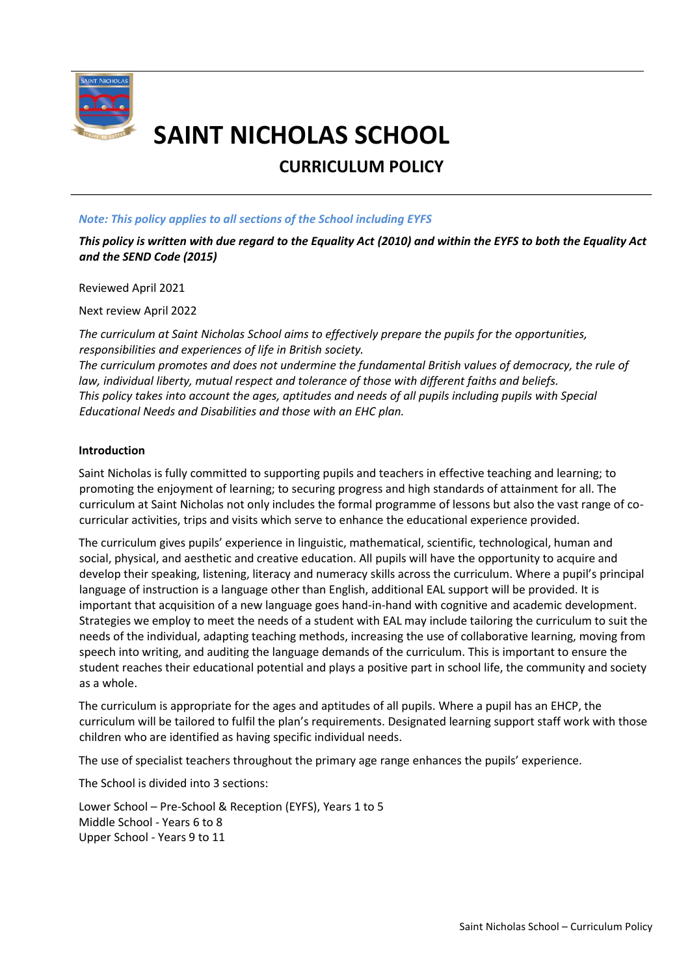

# **SAINT NICHOLAS SCHOOL**

# **CURRICULUM POLICY**

# *Note: This policy applies to all sections of the School including EYFS*

*This policy is written with due regard to the Equality Act (2010) and within the EYFS to both the Equality Act and the SEND Code (2015)*

Reviewed April 2021

Next review April 2022

*The curriculum at Saint Nicholas School aims to effectively prepare the pupils for the opportunities, responsibilities and experiences of life in British society.*

*The curriculum promotes and does not undermine the fundamental British values of democracy, the rule of law, individual liberty, mutual respect and tolerance of those with different faiths and beliefs. This policy takes into account the ages, aptitudes and needs of all pupils including pupils with Special Educational Needs and Disabilities and those with an EHC plan.* 

# **Introduction**

Saint Nicholas is fully committed to supporting pupils and teachers in effective teaching and learning; to promoting the enjoyment of learning; to securing progress and high standards of attainment for all. The curriculum at Saint Nicholas not only includes the formal programme of lessons but also the vast range of cocurricular activities, trips and visits which serve to enhance the educational experience provided.

The curriculum gives pupils' experience in linguistic, mathematical, scientific, technological, human and social, physical, and aesthetic and creative education. All pupils will have the opportunity to acquire and develop their speaking, listening, literacy and numeracy skills across the curriculum. Where a pupil's principal language of instruction is a language other than English, additional EAL support will be provided. It is important that acquisition of a new language goes hand-in-hand with cognitive and academic development. Strategies we employ to meet the needs of a student with EAL may include tailoring the curriculum to suit the needs of the individual, adapting teaching methods, increasing the use of collaborative learning, moving from speech into writing, and auditing the language demands of the curriculum. This is important to ensure the student reaches their educational potential and plays a positive part in school life, the community and society as a whole.

The curriculum is appropriate for the ages and aptitudes of all pupils. Where a pupil has an EHCP, the curriculum will be tailored to fulfil the plan's requirements. Designated learning support staff work with those children who are identified as having specific individual needs.

The use of specialist teachers throughout the primary age range enhances the pupils' experience.

The School is divided into 3 sections:

Lower School – Pre-School & Reception (EYFS), Years 1 to 5 Middle School - Years 6 to 8 Upper School - Years 9 to 11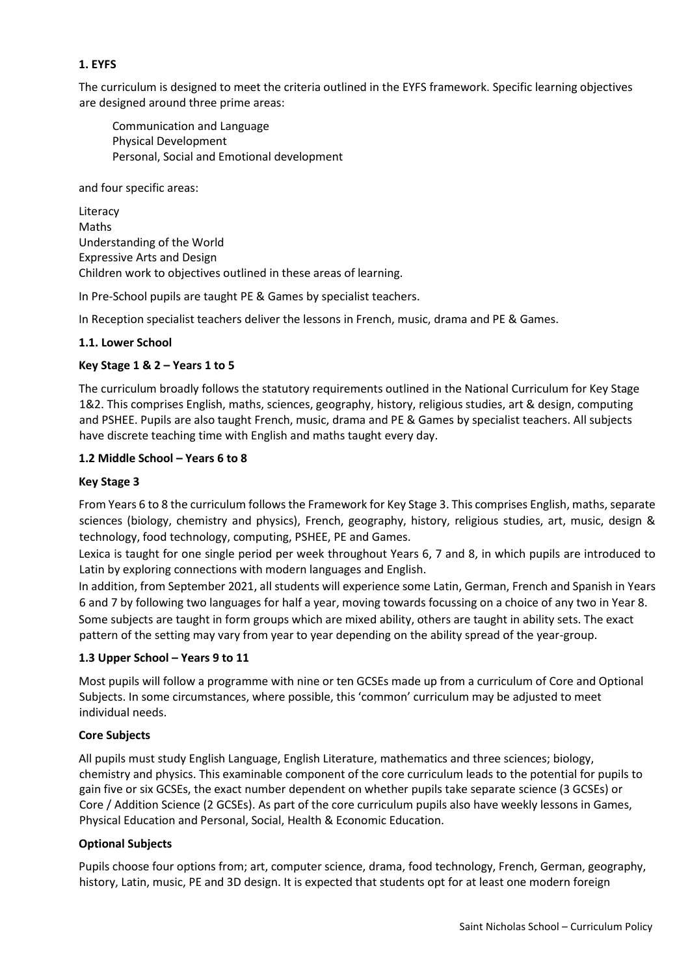# **1. EYFS**

The curriculum is designed to meet the criteria outlined in the EYFS framework. Specific learning objectives are designed around three prime areas:

Communication and Language Physical Development Personal, Social and Emotional development

and four specific areas:

Literacy Maths Understanding of the World Expressive Arts and Design Children work to objectives outlined in these areas of learning.

In Pre-School pupils are taught PE & Games by specialist teachers.

In Reception specialist teachers deliver the lessons in French, music, drama and PE & Games.

# **1.1. Lower School**

#### **Key Stage 1 & 2 – Years 1 to 5**

The curriculum broadly follows the statutory requirements outlined in the National Curriculum for Key Stage 1&2. This comprises English, maths, sciences, geography, history, religious studies, art & design, computing and PSHEE. Pupils are also taught French, music, drama and PE & Games by specialist teachers. All subjects have discrete teaching time with English and maths taught every day.

#### **1.2 Middle School – Years 6 to 8**

#### **Key Stage 3**

From Years 6 to 8 the curriculum follows the Framework for Key Stage 3. This comprises English, maths, separate sciences (biology, chemistry and physics), French, geography, history, religious studies, art, music, design & technology, food technology, computing, PSHEE, PE and Games.

Lexica is taught for one single period per week throughout Years 6, 7 and 8, in which pupils are introduced to Latin by exploring connections with modern languages and English.

In addition, from September 2021, all students will experience some Latin, German, French and Spanish in Years 6 and 7 by following two languages for half a year, moving towards focussing on a choice of any two in Year 8. Some subjects are taught in form groups which are mixed ability, others are taught in ability sets. The exact pattern of the setting may vary from year to year depending on the ability spread of the year-group.

# **1.3 Upper School – Years 9 to 11**

Most pupils will follow a programme with nine or ten GCSEs made up from a curriculum of Core and Optional Subjects. In some circumstances, where possible, this 'common' curriculum may be adjusted to meet individual needs.

#### **Core Subjects**

All pupils must study English Language, English Literature, mathematics and three sciences; biology, chemistry and physics. This examinable component of the core curriculum leads to the potential for pupils to gain five or six GCSEs, the exact number dependent on whether pupils take separate science (3 GCSEs) or Core / Addition Science (2 GCSEs). As part of the core curriculum pupils also have weekly lessons in Games, Physical Education and Personal, Social, Health & Economic Education.

# **Optional Subjects**

Pupils choose four options from; art, computer science, drama, food technology, French, German, geography, history, Latin, music, PE and 3D design. It is expected that students opt for at least one modern foreign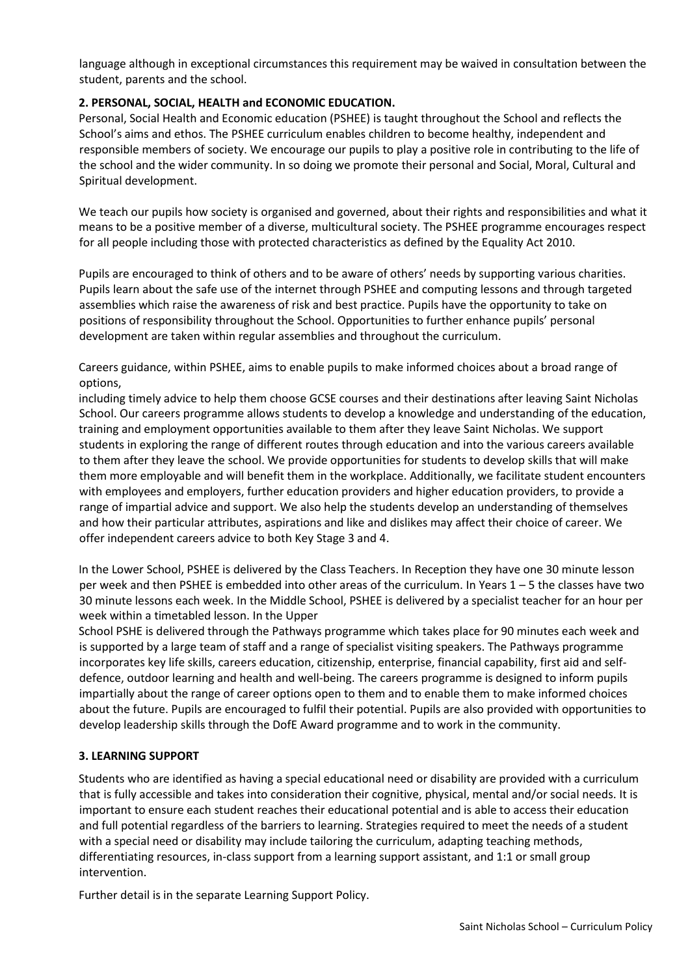language although in exceptional circumstances this requirement may be waived in consultation between the student, parents and the school.

# **2. PERSONAL, SOCIAL, HEALTH and ECONOMIC EDUCATION.**

Personal, Social Health and Economic education (PSHEE) is taught throughout the School and reflects the School's aims and ethos. The PSHEE curriculum enables children to become healthy, independent and responsible members of society. We encourage our pupils to play a positive role in contributing to the life of the school and the wider community. In so doing we promote their personal and Social, Moral, Cultural and Spiritual development.

We teach our pupils how society is organised and governed, about their rights and responsibilities and what it means to be a positive member of a diverse, multicultural society. The PSHEE programme encourages respect for all people including those with protected characteristics as defined by the Equality Act 2010.

Pupils are encouraged to think of others and to be aware of others' needs by supporting various charities. Pupils learn about the safe use of the internet through PSHEE and computing lessons and through targeted assemblies which raise the awareness of risk and best practice. Pupils have the opportunity to take on positions of responsibility throughout the School. Opportunities to further enhance pupils' personal development are taken within regular assemblies and throughout the curriculum.

Careers guidance, within PSHEE, aims to enable pupils to make informed choices about a broad range of options,

including timely advice to help them choose GCSE courses and their destinations after leaving Saint Nicholas School. Our careers programme allows students to develop a knowledge and understanding of the education, training and employment opportunities available to them after they leave Saint Nicholas. We support students in exploring the range of different routes through education and into the various careers available to them after they leave the school. We provide opportunities for students to develop skills that will make them more employable and will benefit them in the workplace. Additionally, we facilitate student encounters with employees and employers, further education providers and higher education providers, to provide a range of impartial advice and support. We also help the students develop an understanding of themselves and how their particular attributes, aspirations and like and dislikes may affect their choice of career. We offer independent careers advice to both Key Stage 3 and 4.

In the Lower School, PSHEE is delivered by the Class Teachers. In Reception they have one 30 minute lesson per week and then PSHEE is embedded into other areas of the curriculum. In Years 1 – 5 the classes have two 30 minute lessons each week. In the Middle School, PSHEE is delivered by a specialist teacher for an hour per week within a timetabled lesson. In the Upper

School PSHE is delivered through the Pathways programme which takes place for 90 minutes each week and is supported by a large team of staff and a range of specialist visiting speakers. The Pathways programme incorporates key life skills, careers education, citizenship, enterprise, financial capability, first aid and selfdefence, outdoor learning and health and well-being. The careers programme is designed to inform pupils impartially about the range of career options open to them and to enable them to make informed choices about the future. Pupils are encouraged to fulfil their potential. Pupils are also provided with opportunities to develop leadership skills through the DofE Award programme and to work in the community.

# **3. LEARNING SUPPORT**

Students who are identified as having a special educational need or disability are provided with a curriculum that is fully accessible and takes into consideration their cognitive, physical, mental and/or social needs. It is important to ensure each student reaches their educational potential and is able to access their education and full potential regardless of the barriers to learning. Strategies required to meet the needs of a student with a special need or disability may include tailoring the curriculum, adapting teaching methods, differentiating resources, in-class support from a learning support assistant, and 1:1 or small group intervention.

Further detail is in the separate Learning Support Policy.